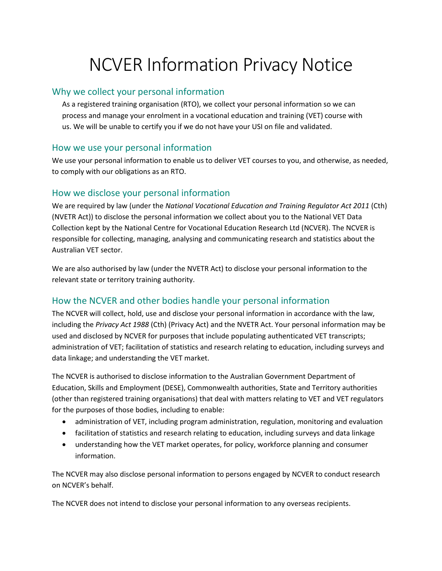# NCVER Information Privacy Notice

#### Why we collect your personal information

As a registered training organisation (RTO), we collect your personal information so we can process and manage your enrolment in a vocational education and training (VET) course with us. We will be unable to certify you if we do not have your USI on file and validated.

#### How we use your personal information

We use your personal information to enable us to deliver VET courses to you, and otherwise, as needed, to comply with our obligations as an RTO.

### How we disclose your personal information

We are required by law (under the *National Vocational Education and Training Regulator Act 2011* (Cth) (NVETR Act)) to disclose the personal information we collect about you to the National VET Data Collection kept by the National Centre for Vocational Education Research Ltd (NCVER). The NCVER is responsible for collecting, managing, analysing and communicating research and statistics about the Australian VET sector.

We are also authorised by law (under the NVETR Act) to disclose your personal information to the relevant state or territory training authority.

# How the NCVER and other bodies handle your personal information

The NCVER will collect, hold, use and disclose your personal information in accordance with the law, including the *Privacy Act 1988* (Cth) (Privacy Act) and the NVETR Act. Your personal information may be used and disclosed by NCVER for purposes that include populating authenticated VET transcripts; administration of VET; facilitation of statistics and research relating to education, including surveys and data linkage; and understanding the VET market.

The NCVER is authorised to disclose information to the Australian Government Department of Education, Skills and Employment (DESE), Commonwealth authorities, State and Territory authorities (other than registered training organisations) that deal with matters relating to VET and VET regulators for the purposes of those bodies, including to enable:

- administration of VET, including program administration, regulation, monitoring and evaluation
- facilitation of statistics and research relating to education, including surveys and data linkage
- understanding how the VET market operates, for policy, workforce planning and consumer information.

The NCVER may also disclose personal information to persons engaged by NCVER to conduct research on NCVER's behalf.

The NCVER does not intend to disclose your personal information to any overseas recipients.